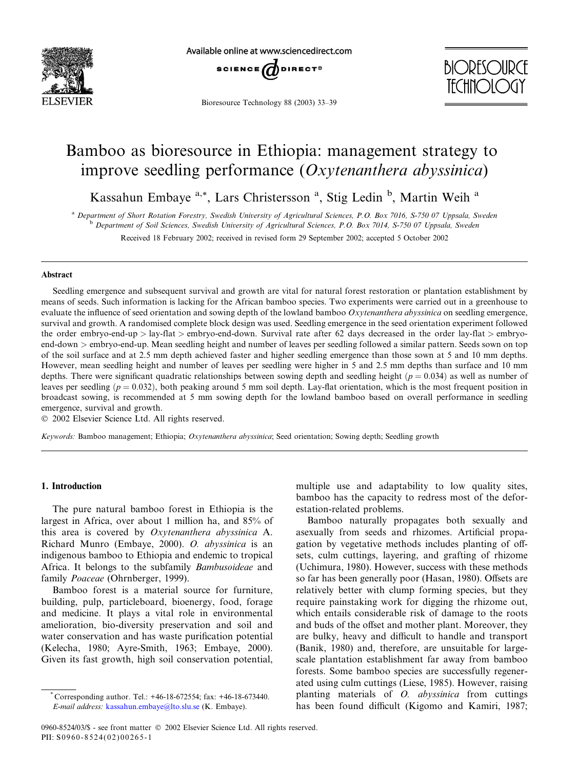

Available online at www.sciencedirect.com



Bioresource Technology 88 (2003) 33–39



# Bamboo as bioresource in Ethiopia: management strategy to improve seedling performance (Oxytenanthera abyssinica)

Kassahun Embaye<sup>a,\*</sup>, Lars Christersson<sup>a</sup>, Stig Ledin<sup>b</sup>, Martin Weih<sup>a</sup>

<sup>a</sup> Department of Short Rotation Forestry, Swedish University of Agricultural Sciences, P.O. Box 7016, S-750 07 Uppsala, Sweden <sup>b</sup> Department of Soil Sciences, Swedish University of Agricultural Sciences, P.O. Box 7014, S-750 07 Uppsala, Sweden

Received 18 February 2002; received in revised form 29 September 2002; accepted 5 October 2002

# Abstract

Seedling emergence and subsequent survival and growth are vital for natural forest restoration or plantation establishment by means of seeds. Such information is lacking for the African bamboo species. Two experiments were carried out in a greenhouse to evaluate the influence of seed orientation and sowing depth of the lowland bamboo Oxytenanthera abyssinica on seedling emergence. survival and growth. A randomised complete block design was used. Seedling emergence in the seed orientation experiment followed the order embryo-end-up  $>$  lay-flat  $>$  embryo-end-down. Survival rate after 62 days decreased in the order lay-flat  $>$  embryoend-down > embryo-end-up. Mean seedling height and number of leaves per seedling followed a similar pattern. Seeds sown on top of the soil surface and at 2.5 mm depth achieved faster and higher seedling emergence than those sown at 5 and 10 mm depths. However, mean seedling height and number of leaves per seedling were higher in 5 and 2.5 mm depths than surface and 10 mm depths. There were significant quadratic relationships between sowing depth and seedling height  $(p = 0.034)$  as well as number of leaves per seedling  $(p = 0.032)$ , both peaking around 5 mm soil depth. Lay-flat orientation, which is the most frequent position in broadcast sowing, is recommended at 5 mm sowing depth for the lowland bamboo based on overall performance in seedling emergence, survival and growth.

2002 Elsevier Science Ltd. All rights reserved.

Keywords: Bamboo management; Ethiopia; Oxytenanthera abyssinica; Seed orientation; Sowing depth; Seedling growth

#### 1. Introduction

The pure natural bamboo forest in Ethiopia is the largest in Africa, over about 1 million ha, and 85% of this area is covered by Oxytenanthera abyssinica A. Richard Munro (Embaye, 2000). O. abyssinica is an indigenous bamboo to Ethiopia and endemic to tropical Africa. It belongs to the subfamily Bambusoideae and family Poaceae (Ohrnberger, 1999).

Bamboo forest is a material source for furniture, building, pulp, particleboard, bioenergy, food, forage and medicine. It plays a vital role in environmental amelioration, bio-diversity preservation and soil and water conservation and has waste purification potential (Kelecha, 1980; Ayre-Smith, 1963; Embaye, 2000). Given its fast growth, high soil conservation potential,

multiple use and adaptability to low quality sites, bamboo has the capacity to redress most of the deforestation-related problems.

Bamboo naturally propagates both sexually and asexually from seeds and rhizomes. Artificial propagation by vegetative methods includes planting of offsets, culm cuttings, layering, and grafting of rhizome (Uchimura, 1980). However, success with these methods so far has been generally poor (Hasan, 1980). Offsets are relatively better with clump forming species, but they require painstaking work for digging the rhizome out, which entails considerable risk of damage to the roots and buds of the offset and mother plant. Moreover, they are bulky, heavy and difficult to handle and transport (Banik, 1980) and, therefore, are unsuitable for largescale plantation establishment far away from bamboo forests. Some bamboo species are successfully regenerated using culm cuttings (Liese, 1985). However, raising planting materials of  $O.$  *abyssinica* from cuttings has been found difficult (Kigomo and Kamiri, 1987;

<sup>\*</sup> Corresponding author. Tel.: +46-18-672554; fax: +46-18-673440. E-mail address: [kassahun.embaye@lto.slu.se](mail to: kassahun.embaye@lto.slu.se) (K. Embaye).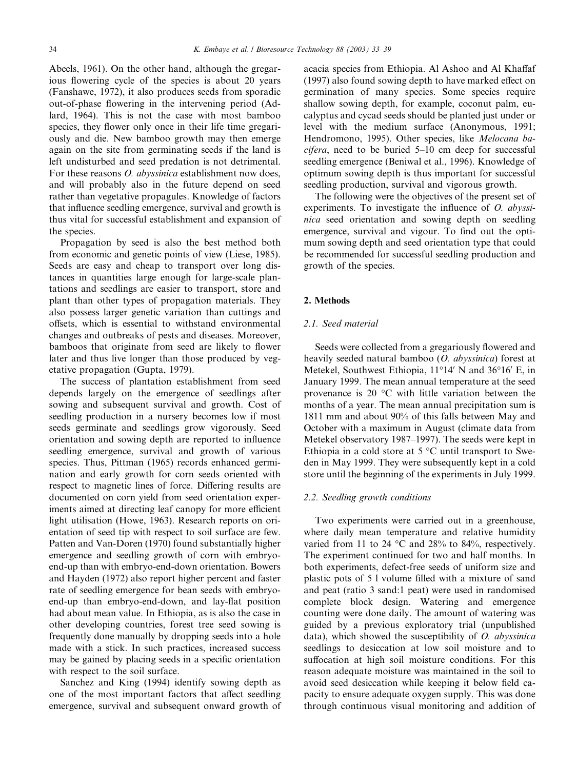Abeels, 1961). On the other hand, although the gregarious flowering cycle of the species is about 20 years (Fanshawe, 1972), it also produces seeds from sporadic out-of-phase flowering in the intervening period (Adlard, 1964). This is not the case with most bamboo species, they flower only once in their life time gregariously and die. New bamboo growth may then emerge again on the site from germinating seeds if the land is left undisturbed and seed predation is not detrimental. For these reasons *O. abyssinica* establishment now does, and will probably also in the future depend on seed rather than vegetative propagules. Knowledge of factors that influence seedling emergence, survival and growth is thus vital for successful establishment and expansion of the species.

Propagation by seed is also the best method both from economic and genetic points of view (Liese, 1985). Seeds are easy and cheap to transport over long distances in quantities large enough for large-scale plantations and seedlings are easier to transport, store and plant than other types of propagation materials. They also possess larger genetic variation than cuttings and offsets, which is essential to withstand environmental changes and outbreaks of pests and diseases. Moreover, bamboos that originate from seed are likely to flower later and thus live longer than those produced by vegetative propagation (Gupta, 1979).

The success of plantation establishment from seed depends largely on the emergence of seedlings after sowing and subsequent survival and growth. Cost of seedling production in a nursery becomes low if most seeds germinate and seedlings grow vigorously. Seed orientation and sowing depth are reported to influence seedling emergence, survival and growth of various species. Thus, Pittman (1965) records enhanced germination and early growth for corn seeds oriented with respect to magnetic lines of force. Differing results are documented on corn yield from seed orientation experiments aimed at directing leaf canopy for more efficient light utilisation (Howe, 1963). Research reports on orientation of seed tip with respect to soil surface are few. Patten and Van-Doren (1970) found substantially higher emergence and seedling growth of corn with embryoend-up than with embryo-end-down orientation. Bowers and Hayden (1972) also report higher percent and faster rate of seedling emergence for bean seeds with embryoend-up than embryo-end-down, and lay-flat position had about mean value. In Ethiopia, as is also the case in other developing countries, forest tree seed sowing is frequently done manually by dropping seeds into a hole made with a stick. In such practices, increased success may be gained by placing seeds in a specific orientation with respect to the soil surface.

Sanchez and King (1994) identify sowing depth as one of the most important factors that affect seedling emergence, survival and subsequent onward growth of acacia species from Ethiopia. Al Ashoo and Al Khaffaf (1997) also found sowing depth to have marked effect on germination of many species. Some species require shallow sowing depth, for example, coconut palm, eucalyptus and cycad seeds should be planted just under or level with the medium surface (Anonymous, 1991; Hendromono, 1995). Other species, like Melocana bacifera, need to be buried 5–10 cm deep for successful seedling emergence (Beniwal et al., 1996). Knowledge of optimum sowing depth is thus important for successful seedling production, survival and vigorous growth.

The following were the objectives of the present set of experiments. To investigate the influence of  $O.$  abyssinica seed orientation and sowing depth on seedling emergence, survival and vigour. To find out the optimum sowing depth and seed orientation type that could be recommended for successful seedling production and growth of the species.

## 2. Methods

# 2.1. Seed material

Seeds were collected from a gregariously flowered and heavily seeded natural bamboo  $(O.$  abyssinica) forest at Metekel, Southwest Ethiopia, 11°14' N and 36°16' E, in January 1999. The mean annual temperature at the seed provenance is 20  $\mathrm{^{\circ}C}$  with little variation between the months of a year. The mean annual precipitation sum is 1811 mm and about 90% of this falls between May and October with a maximum in August (climate data from Metekel observatory 1987–1997). The seeds were kept in Ethiopia in a cold store at  $5^{\circ}$ C until transport to Sweden in May 1999. They were subsequently kept in a cold store until the beginning of the experiments in July 1999.

#### 2.2. Seedling growth conditions

Two experiments were carried out in a greenhouse, where daily mean temperature and relative humidity varied from 11 to 24  $^{\circ}$ C and 28% to 84%, respectively. The experiment continued for two and half months. In both experiments, defect-free seeds of uniform size and plastic pots of 5 l volume filled with a mixture of sand and peat (ratio 3 sand:1 peat) were used in randomised complete block design. Watering and emergence counting were done daily. The amount of watering was guided by a previous exploratory trial (unpublished data), which showed the susceptibility of  $O$ . abyssinica seedlings to desiccation at low soil moisture and to suffocation at high soil moisture conditions. For this reason adequate moisture was maintained in the soil to avoid seed desiccation while keeping it below field capacity to ensure adequate oxygen supply. This was done through continuous visual monitoring and addition of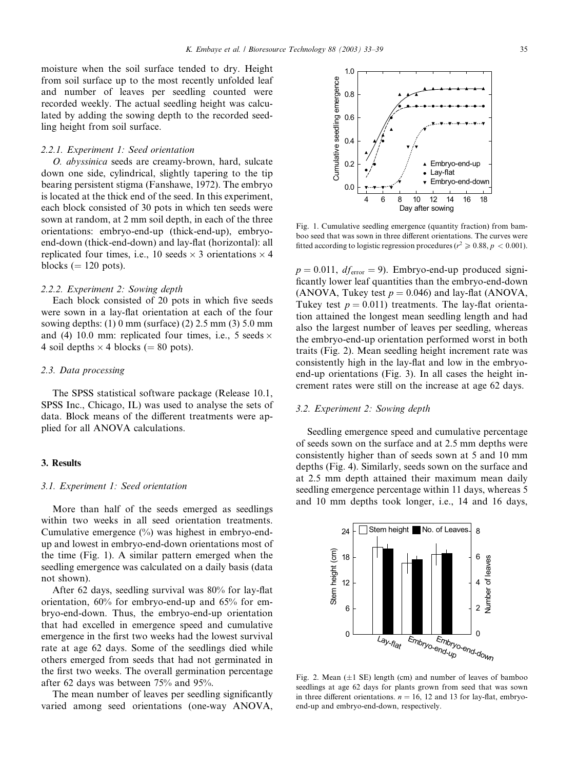moisture when the soil surface tended to dry. Height from soil surface up to the most recently unfolded leaf and number of leaves per seedling counted were recorded weekly. The actual seedling height was calculated by adding the sowing depth to the recorded seedling height from soil surface.

#### 2.2.1. Experiment 1: Seed orientation

O.abyssinica seeds are creamy-brown, hard, sulcate down one side, cylindrical, slightly tapering to the tip bearing persistent stigma (Fanshawe, 1972). The embryo is located at the thick end of the seed. In this experiment, each block consisted of 30 pots in which ten seeds were sown at random, at 2 mm soil depth, in each of the three orientations: embryo-end-up (thick-end-up), embryoend-down (thick-end-down) and lay-flat (horizontal): all replicated four times, i.e., 10 seeds  $\times$  3 orientations  $\times$  4 blocks  $(= 120 \text{ pots}).$ 

#### 2.2.2. Experiment 2: Sowing depth

Each block consisted of 20 pots in which five seeds were sown in a lay-flat orientation at each of the four sowing depths: (1) 0 mm (surface) (2) 2.5 mm (3) 5.0 mm and (4) 10.0 mm: replicated four times, i.e., 5 seeds  $\times$ 4 soil depths  $\times$  4 blocks (= 80 pots).

# 2.3. Data processing

The SPSS statistical software package (Release 10.1, SPSS Inc., Chicago, IL) was used to analyse the sets of data. Block means of the different treatments were applied for all ANOVA calculations.

## 3. Results

#### 3.1. Experiment 1: Seed orientation

More than half of the seeds emerged as seedlings within two weeks in all seed orientation treatments. Cumulative emergence  $(\%)$  was highest in embryo-endup and lowest in embryo-end-down orientations most of the time (Fig. 1). A similar pattern emerged when the seedling emergence was calculated on a daily basis (data not shown).

After 62 days, seedling survival was 80% for lay-flat orientation, 60% for embryo-end-up and 65% for embryo-end-down. Thus, the embryo-end-up orientation that had excelled in emergence speed and cumulative emergence in the first two weeks had the lowest survival rate at age 62 days. Some of the seedlings died while others emerged from seeds that had not germinated in the first two weeks. The overall germination percentage after 62 days was between 75% and 95%.

The mean number of leaves per seedling significantly varied among seed orientations (one-way ANOVA,

Fig. 1. Cumulative seedling emergence (quantity fraction) from bamboo seed that was sown in three different orientations. The curves were fitted according to logistic regression procedures ( $r^2 \ge 0.88$ ,  $p < 0.001$ ).

 $p = 0.011$ ,  $df_{error} = 9$ ). Embryo-end-up produced significantly lower leaf quantities than the embryo-end-down (ANOVA, Tukey test  $p = 0.046$ ) and lay-flat (ANOVA, Tukey test  $p = 0.011$ ) treatments. The lay-flat orientation attained the longest mean seedling length and had also the largest number of leaves per seedling, whereas the embryo-end-up orientation performed worst in both traits (Fig. 2). Mean seedling height increment rate was consistently high in the lay-flat and low in the embryoend-up orientations (Fig. 3). In all cases the height increment rates were still on the increase at age 62 days.

## 3.2. Experiment 2: Sowing depth

Seedling emergence speed and cumulative percentage of seeds sown on the surface and at 2.5 mm depths were consistently higher than of seeds sown at 5 and 10 mm depths (Fig. 4). Similarly, seeds sown on the surface and at 2.5 mm depth attained their maximum mean daily seedling emergence percentage within 11 days, whereas 5 and 10 mm depths took longer, i.e., 14 and 16 days,



Fig. 2. Mean  $(\pm 1 \text{ SE})$  length (cm) and number of leaves of bamboo seedlings at age 62 days for plants grown from seed that was sown in three different orientations.  $n = 16$ , 12 and 13 for lay-flat, embryoend-up and embryo-end-down, respectively.

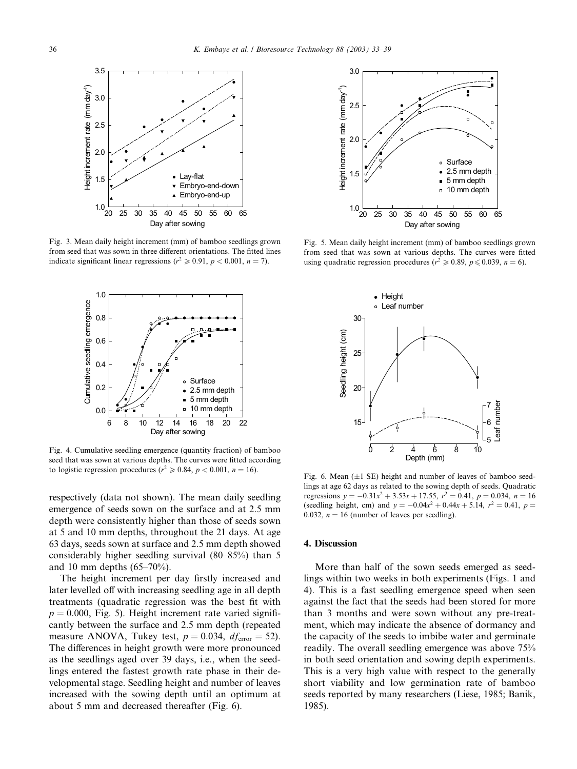

Fig. 3. Mean daily height increment (mm) of bamboo seedlings grown from seed that was sown in three different orientations. The fitted lines indicate significant linear regressions ( $r^2 \ge 0.91$ ,  $p < 0.001$ ,  $n = 7$ ).



Fig. 4. Cumulative seedling emergence (quantity fraction) of bamboo seed that was sown at various depths. The curves were fitted according to logistic regression procedures ( $r^2 \ge 0.84$ ,  $p < 0.001$ ,  $n = 16$ ).

respectively (data not shown). The mean daily seedling emergence of seeds sown on the surface and at 2.5 mm depth were consistently higher than those of seeds sown at 5 and 10 mm depths, throughout the 21 days. At age 63 days, seeds sown at surface and 2.5 mm depth showed considerably higher seedling survival (80–85%) than 5 and 10 mm depths (65–70%).

The height increment per day firstly increased and later levelled off with increasing seedling age in all depth treatments (quadratic regression was the best fit with  $p = 0.000$ , Fig. 5). Height increment rate varied significantly between the surface and 2.5 mm depth (repeated measure ANOVA, Tukey test,  $p = 0.034$ ,  $df_{\text{error}} = 52$ ). The differences in height growth were more pronounced as the seedlings aged over 39 days, i.e., when the seedlings entered the fastest growth rate phase in their developmental stage. Seedling height and number of leaves increased with the sowing depth until an optimum at about 5 mm and decreased thereafter (Fig. 6).



Fig. 5. Mean daily height increment (mm) of bamboo seedlings grown from seed that was sown at various depths. The curves were fitted using quadratic regression procedures ( $r^2 \ge 0.89$ ,  $p \le 0.039$ ,  $n = 6$ ).



Fig. 6. Mean  $(\pm 1 \text{ SE})$  height and number of leaves of bamboo seedlings at age 62 days as related to the sowing depth of seeds. Quadratic regressions  $y = -0.31x^2 + 3.53x + 17.55$ ,  $r^2 = 0.41$ ,  $p = 0.034$ ,  $n = 16$ (seedling height, cm) and  $y = -0.04x^2 + 0.44x + 5.14$ ,  $r^2 = 0.41$ ,  $p =$ 0.032,  $n = 16$  (number of leaves per seedling).

#### 4. Discussion

More than half of the sown seeds emerged as seedlings within two weeks in both experiments (Figs. 1 and 4). This is a fast seedling emergence speed when seen against the fact that the seeds had been stored for more than 3 months and were sown without any pre-treatment, which may indicate the absence of dormancy and the capacity of the seeds to imbibe water and germinate readily. The overall seedling emergence was above 75% in both seed orientation and sowing depth experiments. This is a very high value with respect to the generally short viability and low germination rate of bamboo seeds reported by many researchers (Liese, 1985; Banik, 1985).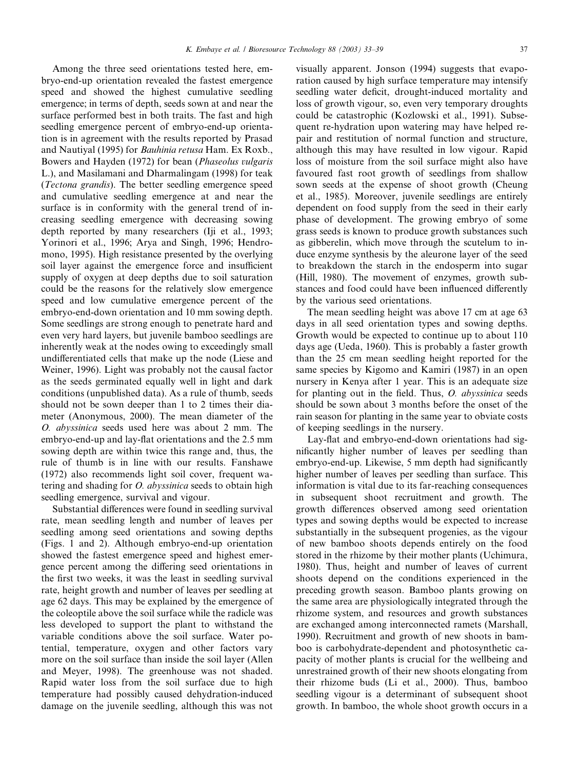Among the three seed orientations tested here, embryo-end-up orientation revealed the fastest emergence speed and showed the highest cumulative seedling emergence; in terms of depth, seeds sown at and near the surface performed best in both traits. The fast and high seedling emergence percent of embryo-end-up orientation is in agreement with the results reported by Prasad and Nautiyal (1995) for Bauhinia retusa Ham. Ex Roxb., Bowers and Hayden (1972) for bean (Phaseolus vulgaris L.), and Masilamani and Dharmalingam (1998) for teak (Tectona grandis). The better seedling emergence speed and cumulative seedling emergence at and near the surface is in conformity with the general trend of increasing seedling emergence with decreasing sowing depth reported by many researchers (Iji et al., 1993; Yorinori et al., 1996; Arya and Singh, 1996; Hendromono, 1995). High resistance presented by the overlying soil layer against the emergence force and insufficient supply of oxygen at deep depths due to soil saturation could be the reasons for the relatively slow emergence speed and low cumulative emergence percent of the embryo-end-down orientation and 10 mm sowing depth. Some seedlings are strong enough to penetrate hard and even very hard layers, but juvenile bamboo seedlings are inherently weak at the nodes owing to exceedingly small undifferentiated cells that make up the node (Liese and Weiner, 1996). Light was probably not the causal factor as the seeds germinated equally well in light and dark conditions (unpublished data). As a rule of thumb, seeds should not be sown deeper than 1 to 2 times their diameter (Anonymous, 2000). The mean diameter of the O.abyssinica seeds used here was about 2 mm. The embryo-end-up and lay-flat orientations and the 2.5 mm sowing depth are within twice this range and, thus, the rule of thumb is in line with our results. Fanshawe (1972) also recommends light soil cover, frequent watering and shading for  $O$ . *abyssinica* seeds to obtain high seedling emergence, survival and vigour.

Substantial differences were found in seedling survival rate, mean seedling length and number of leaves per seedling among seed orientations and sowing depths (Figs. 1 and 2). Although embryo-end-up orientation showed the fastest emergence speed and highest emergence percent among the differing seed orientations in the first two weeks, it was the least in seedling survival rate, height growth and number of leaves per seedling at age 62 days. This may be explained by the emergence of the coleoptile above the soil surface while the radicle was less developed to support the plant to withstand the variable conditions above the soil surface. Water potential, temperature, oxygen and other factors vary more on the soil surface than inside the soil layer (Allen and Meyer, 1998). The greenhouse was not shaded. Rapid water loss from the soil surface due to high temperature had possibly caused dehydration-induced damage on the juvenile seedling, although this was not visually apparent. Jonson (1994) suggests that evaporation caused by high surface temperature may intensify seedling water deficit, drought-induced mortality and loss of growth vigour, so, even very temporary droughts could be catastrophic (Kozlowski et al., 1991). Subsequent re-hydration upon watering may have helped repair and restitution of normal function and structure, although this may have resulted in low vigour. Rapid loss of moisture from the soil surface might also have favoured fast root growth of seedlings from shallow sown seeds at the expense of shoot growth (Cheung et al., 1985). Moreover, juvenile seedlings are entirely dependent on food supply from the seed in their early phase of development. The growing embryo of some grass seeds is known to produce growth substances such as gibberelin, which move through the scutelum to induce enzyme synthesis by the aleurone layer of the seed to breakdown the starch in the endosperm into sugar (Hill, 1980). The movement of enzymes, growth substances and food could have been influenced differently by the various seed orientations.

The mean seedling height was above 17 cm at age 63 days in all seed orientation types and sowing depths. Growth would be expected to continue up to about 110 days age (Ueda, 1960). This is probably a faster growth than the 25 cm mean seedling height reported for the same species by Kigomo and Kamiri (1987) in an open nursery in Kenya after 1 year. This is an adequate size for planting out in the field. Thus,  $O.$  abyssinica seeds should be sown about 3 months before the onset of the rain season for planting in the same year to obviate costs of keeping seedlings in the nursery.

Lay-flat and embryo-end-down orientations had significantly higher number of leaves per seedling than embryo-end-up. Likewise, 5 mm depth had significantly higher number of leaves per seedling than surface. This information is vital due to its far-reaching consequences in subsequent shoot recruitment and growth. The growth differences observed among seed orientation types and sowing depths would be expected to increase substantially in the subsequent progenies, as the vigour of new bamboo shoots depends entirely on the food stored in the rhizome by their mother plants (Uchimura, 1980). Thus, height and number of leaves of current shoots depend on the conditions experienced in the preceding growth season. Bamboo plants growing on the same area are physiologically integrated through the rhizome system, and resources and growth substances are exchanged among interconnected ramets (Marshall, 1990). Recruitment and growth of new shoots in bamboo is carbohydrate-dependent and photosynthetic capacity of mother plants is crucial for the wellbeing and unrestrained growth of their new shoots elongating from their rhizome buds (Li et al., 2000). Thus, bamboo seedling vigour is a determinant of subsequent shoot growth. In bamboo, the whole shoot growth occurs in a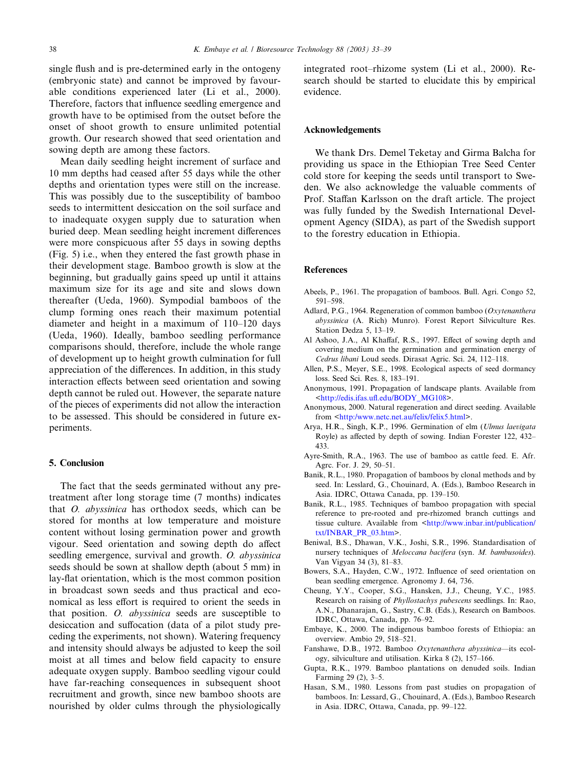single flush and is pre-determined early in the ontogeny (embryonic state) and cannot be improved by favourable conditions experienced later (Li et al., 2000). Therefore, factors that influence seedling emergence and growth have to be optimised from the outset before the onset of shoot growth to ensure unlimited potential growth. Our research showed that seed orientation and sowing depth are among these factors.

Mean daily seedling height increment of surface and 10 mm depths had ceased after 55 days while the other depths and orientation types were still on the increase. This was possibly due to the susceptibility of bamboo seeds to intermittent desiccation on the soil surface and to inadequate oxygen supply due to saturation when buried deep. Mean seedling height increment differences were more conspicuous after 55 days in sowing depths (Fig. 5) i.e., when they entered the fast growth phase in their development stage. Bamboo growth is slow at the beginning, but gradually gains speed up until it attains maximum size for its age and site and slows down thereafter (Ueda, 1960). Sympodial bamboos of the clump forming ones reach their maximum potential diameter and height in a maximum of 110–120 days (Ueda, 1960). Ideally, bamboo seedling performance comparisons should, therefore, include the whole range of development up to height growth culmination for full appreciation of the differences. In addition, in this study interaction effects between seed orientation and sowing depth cannot be ruled out. However, the separate nature of the pieces of experiments did not allow the interaction to be assessed. This should be considered in future experiments.

## 5. Conclusion

The fact that the seeds germinated without any pretreatment after long storage time (7 months) indicates that *O. abyssinica* has orthodox seeds, which can be stored for months at low temperature and moisture content without losing germination power and growth vigour. Seed orientation and sowing depth do affect seedling emergence, survival and growth. O. abyssinica seeds should be sown at shallow depth (about 5 mm) in lay-flat orientation, which is the most common position in broadcast sown seeds and thus practical and economical as less effort is required to orient the seeds in that position.  $O.$  abyssinica seeds are susceptible to desiccation and suffocation (data of a pilot study preceding the experiments, not shown). Watering frequency and intensity should always be adjusted to keep the soil moist at all times and below field capacity to ensure adequate oxygen supply. Bamboo seedling vigour could have far-reaching consequences in subsequent shoot recruitment and growth, since new bamboo shoots are nourished by older culms through the physiologically

integrated root–rhizome system (Li et al., 2000). Research should be started to elucidate this by empirical evidence.

## Acknowledgements

We thank Drs. Demel Teketay and Girma Balcha for providing us space in the Ethiopian Tree Seed Center cold store for keeping the seeds until transport to Sweden. We also acknowledge the valuable comments of Prof. Staffan Karlsson on the draft article. The project was fully funded by the Swedish International Development Agency (SIDA), as part of the Swedish support to the forestry education in Ethiopia.

#### References

- Abeels, P., 1961. The propagation of bamboos. Bull. Agri. Congo 52, 591–598.
- Adlard, P.G., 1964. Regeneration of common bamboo (Oxytenanthera abyssinica (A. Rich) Munro). Forest Report Silviculture Res. Station Dedza 5, 13–19.
- Al Ashoo, J.A., Al Khaffaf, R.S., 1997. Effect of sowing depth and covering medium on the germination and germination energy of Cedrus libani Loud seeds. Dirasat Agric. Sci. 24, 112–118.
- Allen, P.S., Meyer, S.E., 1998. Ecological aspects of seed dormancy loss. Seed Sci. Res. 8, 183–191.
- Anonymous, 1991. Propagation of landscape plants. Available from <[http://edis.ifas.ufl.edu/BODY\\_MG108>](http://edis.ifas.ufl.edu/BODY_MG108).
- Anonymous, 2000. Natural regeneration and direct seeding. Available from [<http:/www.netc.net.au/felix/felix5.html](http://http:/www.netc.net.au/felix/felix5.html)>.
- Arya, H.R., Singh, K.P., 1996. Germination of elm (Ulmus laevigata Royle) as affected by depth of sowing. Indian Forester 122, 432– 433.
- Ayre-Smith, R.A., 1963. The use of bamboo as cattle feed. E. Afr. Agrc. For. J. 29, 50–51.
- Banik, R.L., 1980. Propagation of bamboos by clonal methods and by seed. In: Lesslard, G., Chouinard, A. (Eds.), Bamboo Research in Asia. IDRC, Ottawa Canada, pp. 139–150.
- Banik, R.L., 1985. Techniques of bamboo propagation with special reference to pre-rooted and pre-rhizomed branch cuttings and tissue culture. Available from <[http://www.inbar.int/publication/](http://www.inbar.int/publication/txt/INBAR_PR_03.htm) [txt/INBAR\\_PR\\_03.htm>](http://www.inbar.int/publication/txt/INBAR_PR_03.htm).
- Beniwal, B.S., Dhawan, V.K., Joshi, S.R., 1996. Standardisation of nursery techniques of Meloccana bacifera (syn. M. bambusoides). Van Vigyan 34 (3), 81–83.
- Bowers, S.A., Hayden, C.W., 1972. Influence of seed orientation on bean seedling emergence. Agronomy J. 64, 736.
- Cheung, Y.Y., Cooper, S.G., Hansken, J.J., Cheung, Y.C., 1985. Research on raising of Phyllostachys pubescens seedlings. In: Rao, A.N., Dhanarajan, G., Sastry, C.B. (Eds.), Research on Bamboos. IDRC, Ottawa, Canada, pp. 76–92.
- Embaye, K., 2000. The indigenous bamboo forests of Ethiopia: an overview. Ambio 29, 518–521.
- Fanshawe, D.B., 1972. Bamboo Oxytenanthera abyssinica--its ecology, silviculture and utilisation. Kirka 8 (2), 157–166.
- Gupta, R.K., 1979. Bamboo plantations on denuded soils. Indian Farming 29 (2), 3–5.
- Hasan, S.M., 1980. Lessons from past studies on propagation of bamboos. In: Lessard, G., Chouinard, A. (Eds.), Bamboo Research in Asia. IDRC, Ottawa, Canada, pp. 99–122.